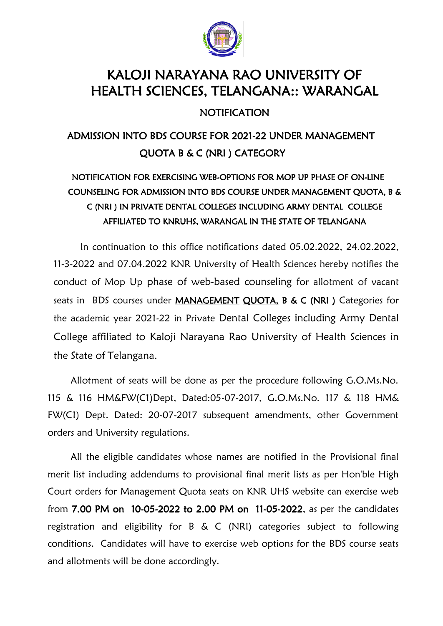

# KALOJI NARAYANA RAO UNIVERSITY OF HEALTH SCIENCES, TELANGANA:: WARANGAL

### **NOTIFICATION**

## ADMISSION INTO BDS COURSE FOR 2021-22 UNDER MANAGEMENT QUOTA B & C (NRI ) CATEGORY

### NOTIFICATION FOR EXERCISING WEB-OPTIONS FOR MOP UP PHASE OF ON-LINE COUNSELING FOR ADMISSION INTO BDS COURSE UNDER MANAGEMENT QUOTA, B & C (NRI ) IN PRIVATE DENTAL COLLEGES INCLUDING ARMY DENTAL COLLEGE AFFILIATED TO KNRUHS, WARANGAL IN THE STATE OF TELANGANA

In continuation to this office notifications dated 05.02.2022, 24.02.2022, 11-3-2022 and 07.04.2022 KNR University of Health Sciences hereby notifies the conduct of Mop Up phase of web-based counseling for allotment of vacant seats in BDS courses under MANAGEMENT QUOTA, B & C (NRI ) Categories for the academic year 2021-22 in Private Dental Colleges including Army Dental College affiliated to Kaloji Narayana Rao University of Health Sciences in the State of Telangana.

Allotment of seats will be done as per the procedure following G.O.Ms.No. 115 & 116 HM&FW(C1)Dept, Dated:05-07-2017, G.O.Ms.No. 117 & 118 HM& FW(C1) Dept. Dated: 20-07-2017 subsequent amendments, other Government orders and University regulations.

All the eligible candidates whose names are notified in the Provisional final merit list including addendums to provisional final merit lists as per Hon'ble High Court orders for Management Quota seats on KNR UHS website can exercise web from 7.00 PM on 10-05-2022 to 2.00 PM on 11-05-2022, as per the candidates registration and eligibility for B & C (NRI) categories subject to following conditions. Candidates will have to exercise web options for the BDS course seats and allotments will be done accordingly.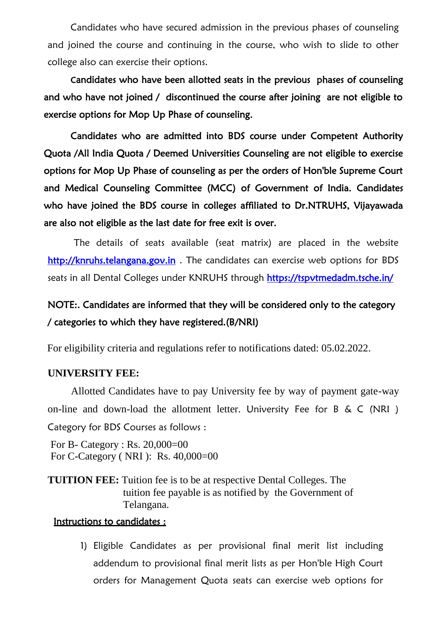Candidates who have secured admission in the previous phases of counseling and joined the course and continuing in the course, who wish to slide to other college also can exercise their options.

 Candidates who have been allotted seats in the previous phases of counseling and who have not joined / discontinued the course after joining are not eligible to exercise options for Mop Up Phase of counseling.

 Candidates who are admitted into BDS course under Competent Authority Quota /All India Quota / Deemed Universities Counseling are not eligible to exercise options for Mop Up Phase of counseling as per the orders of Hon'ble Supreme Court and Medical Counseling Committee (MCC) of Government of India. Candidates who have joined the BDS course in colleges affiliated to Dr.NTRUHS, Vijayawada are also not eligible as the last date for free exit is over.

The details of seats available (seat matrix) are placed in the website [http://knruhs.telangana.gov.in .](http://knruhs.telangana.gov.in/) The candidates can exercise web options for BDS seats in all Dental Colleges under KNRUHS through https://tspvtmedadm.tsche.in/

### NOTE:. Candidates are informed that they will be considered only to the category / categories to which they have registered.(B/NRI)

For eligibility criteria and regulations refer to notifications dated: 05.02.2022.

#### **UNIVERSITY FEE:**

Allotted Candidates have to pay University fee by way of payment gate-way on-line and down-load the allotment letter. University Fee for B & C (NRI ) Category for BDS Courses as follows :

For B- Category : Rs. 20,000=00 For C-Category ( NRI ): Rs. 40,000=00

**TUITION FEE:** Tuition fee is to be at respective Dental Colleges. The tuition fee payable is as notified by the Government of Telangana.

#### Instructions to candidates :

1) Eligible Candidates as per provisional final merit list including addendum to provisional final merit lists as per Hon'ble High Court orders for Management Quota seats can exercise web options for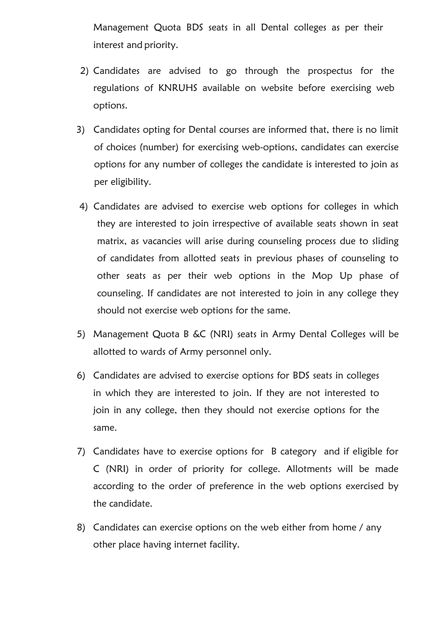Management Quota BDS seats in all Dental colleges as per their interest and priority.

- 2) Candidates are advised to go through the prospectus for the regulations of KNRUHS available on website before exercising web options.
- 3) Candidates opting for Dental courses are informed that, there is no limit of choices (number) for exercising web-options, candidates can exercise options for any number of colleges the candidate is interested to join as per eligibility.
- 4) Candidates are advised to exercise web options for colleges in which they are interested to join irrespective of available seats shown in seat matrix, as vacancies will arise during counseling process due to sliding of candidates from allotted seats in previous phases of counseling to other seats as per their web options in the Mop Up phase of counseling. If candidates are not interested to join in any college they should not exercise web options for the same.
- 5) Management Quota B &C (NRI) seats in Army Dental Colleges will be allotted to wards of Army personnel only.
- 6) Candidates are advised to exercise options for BDS seats in colleges in which they are interested to join. If they are not interested to join in any college, then they should not exercise options for the same.
- 7) Candidates have to exercise options for B category and if eligible for C (NRI) in order of priority for college. Allotments will be made according to the order of preference in the web options exercised by the candidate.
- 8) Candidates can exercise options on the web either from home / any other place having internet facility.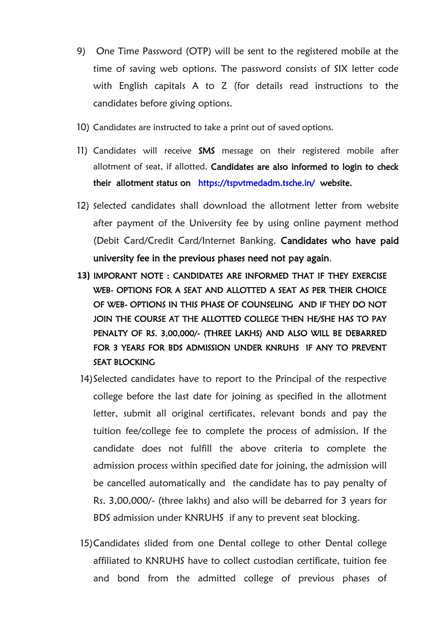- 9) One Time Password (OTP) will be sent to the registered mobile at the time of saving web options. The password consists of SIX letter code with English capitals A to Z (for details read instructions to the candidates before giving options.
- 10) Candidates are instructed to take a print out of saved options.
- 11) Candidates will receive SMS message on their registered mobile after allotment of seat, if allotted. Candidates are also informed to login to check their allotment status on <https://tspvtmedadm.tsche.in/>website.
- 12) Selected candidates shall download the allotment letter from website after payment of the University fee by using online payment method (Debit Card/Credit Card/Internet Banking. Candidates who have paid university fee in the previous phases need not pay again.
- **13)** IMPORANT NOTE : CANDIDATES ARE INFORMED THAT IF THEY EXERCISE WEB- OPTIONS FOR A SEAT AND ALLOTTED A SEAT AS PER THEIR CHOICE OF WEB- OPTIONS IN THIS PHASE OF COUNSELING AND IF THEY DO NOT JOIN THE COURSE AT THE ALLOTTED COLLEGE THEN HE/SHE HAS TO PAY PENALTY OF RS. 3,00,000/- (THREE LAKHS) AND ALSO WILL BE DEBARRED FOR 3 YEARS FOR BDS ADMISSION UNDER KNRUHS IF ANY TO PREVENT SEAT BLOCKING
- 14)Selected candidates have to report to the Principal of the respective college before the last date for joining as specified in the allotment letter, submit all original certificates, relevant bonds and pay the tuition fee/college fee to complete the process of admission. If the candidate does not fulfill the above criteria to complete the admission process within specified date for joining, the admission will be cancelled automatically and the candidate has to pay penalty of Rs. 3,00,000/- (three lakhs) and also will be debarred for 3 years for BDS admission under KNRUHS if any to prevent seat blocking.
- 15)Candidates slided from one Dental college to other Dental college affiliated to KNRUHS have to collect custodian certificate, tuition fee and bond from the admitted college of previous phases of